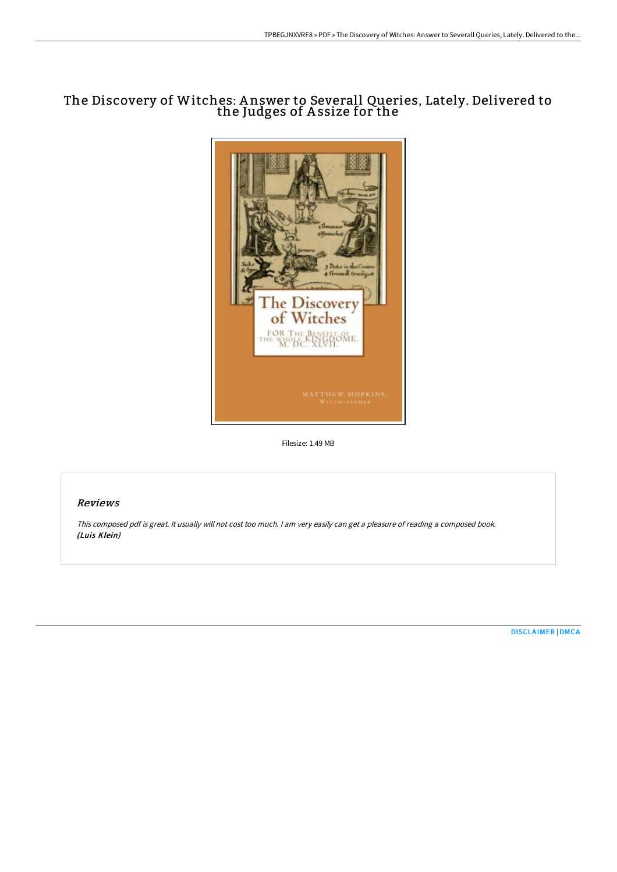## The Discovery of Witches: A nswer to Severall Queries, Lately. Delivered to the Judges of A ssize for the



Filesize: 1.49 MB

### Reviews

This composed pdf is great. It usually will not cost too much. <sup>I</sup> am very easily can get <sup>a</sup> pleasure of reading <sup>a</sup> composed book. (Luis Klein)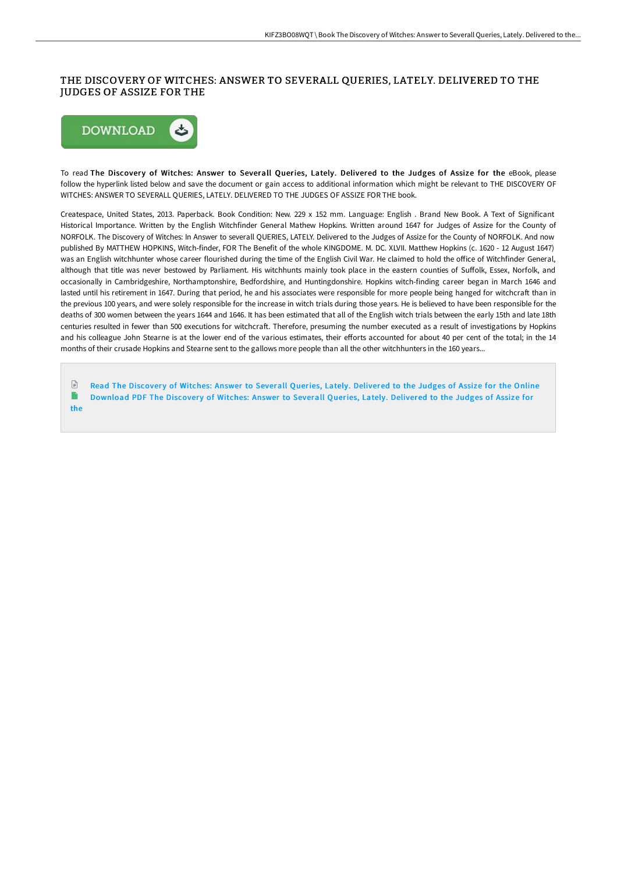#### THE DISCOVERY OF WITCHES: ANSWER TO SEVERALL QUERIES, LATELY. DELIVERED TO THE JUDGES OF ASSIZE FOR THE



To read The Discovery of Witches: Answer to Severall Queries, Lately. Delivered to the Judges of Assize for the eBook, please follow the hyperlink listed below and save the document or gain access to additional information which might be relevant to THE DISCOVERY OF WITCHES: ANSWER TO SEVERALL QUERIES, LATELY. DELIVERED TO THE JUDGES OF ASSIZE FOR THE book.

Createspace, United States, 2013. Paperback. Book Condition: New. 229 x 152 mm. Language: English . Brand New Book. A Text of Significant Historical Importance. Written by the English Witchfinder General Mathew Hopkins. Written around 1647 for Judges of Assize for the County of NORFOLK. The Discovery of Witches: In Answer to severall QUERIES, LATELY. Delivered to the Judges of Assize for the County of NORFOLK. And now published By MATTHEW HOPKINS, Witch-finder, FOR The Benefit of the whole KINGDOME. M. DC. XLVII. Matthew Hopkins (c. 1620 - 12 August 1647) was an English witchhunter whose career flourished during the time of the English Civil War. He claimed to hold the office of Witchfinder General, although that title was never bestowed by Parliament. His witchhunts mainly took place in the eastern counties of Suffolk, Essex, Norfolk, and occasionally in Cambridgeshire, Northamptonshire, Bedfordshire, and Huntingdonshire. Hopkins witch-finding career began in March 1646 and lasted until his retirement in 1647. During that period, he and his associates were responsible for more people being hanged for witchcraft than in the previous 100 years, and were solely responsible for the increase in witch trials during those years. He is believed to have been responsible for the deaths of 300 women between the years 1644 and 1646. It has been estimated that all of the English witch trials between the early 15th and late 18th centuries resulted in fewer than 500 executions for witchcraft. Therefore, presuming the number executed as a result of investigations by Hopkins and his colleague John Stearne is at the lower end of the various estimates, their efforts accounted for about 40 per cent of the total; in the 14 months of their crusade Hopkins and Stearne sent to the gallows more people than all the other witchhunters in the 160 years...

 $\mathbb{R}$ Read The Discovery of Witches: Answer to Severall Queries, Lately. [Delivered](http://digilib.live/the-discovery-of-witches-answer-to-severall-quer.html) to the Judges of Assize for the Online  $\blacksquare$ [Download](http://digilib.live/the-discovery-of-witches-answer-to-severall-quer.html) PDF The Discovery of Witches: Answer to Severall Queries, Lately. Delivered to the Judges of Assize for the